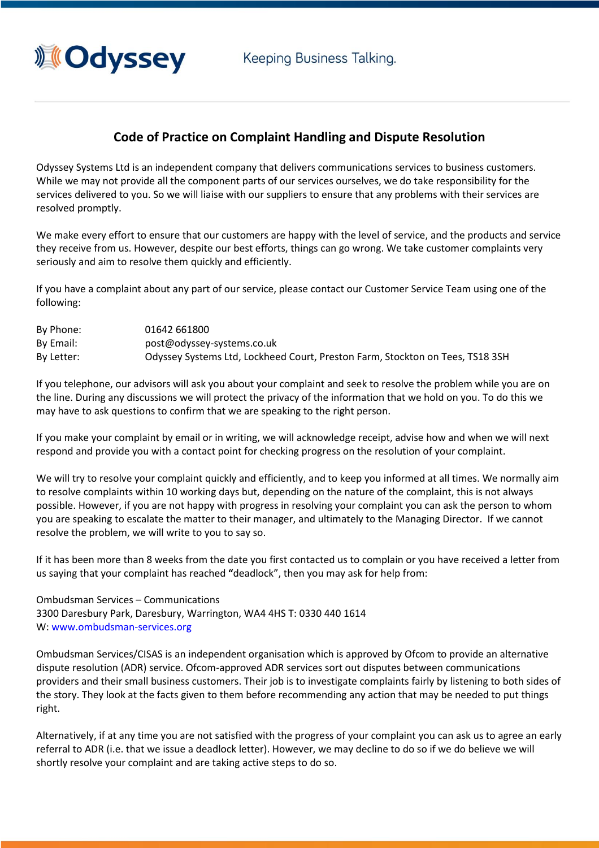Keeping Business Talking.



## **Code of Practice on Complaint Handling and Dispute Resolution**

Odyssey Systems Ltd is an independent company that delivers communications services to business customers. While we may not provide all the component parts of our services ourselves, we do take responsibility for the services delivered to you. So we will liaise with our suppliers to ensure that any problems with their services are resolved promptly.

We make every effort to ensure that our customers are happy with the level of service, and the products and service they receive from us. However, despite our best efforts, things can go wrong. We take customer complaints very seriously and aim to resolve them quickly and efficiently.

If you have a complaint about any part of our service, please contact our Customer Service Team using one of the following:

| By Phone:  | 01642 661800                                                                  |
|------------|-------------------------------------------------------------------------------|
| By Email:  | post@odyssey-systems.co.uk                                                    |
| By Letter: | Odyssey Systems Ltd, Lockheed Court, Preston Farm, Stockton on Tees, TS18 3SH |

If you telephone, our advisors will ask you about your complaint and seek to resolve the problem while you are on the line. During any discussions we will protect the privacy of the information that we hold on you. To do this we may have to ask questions to confirm that we are speaking to the right person.

If you make your complaint by email or in writing, we will acknowledge receipt, advise how and when we will next respond and provide you with a contact point for checking progress on the resolution of your complaint.

We will try to resolve your complaint quickly and efficiently, and to keep you informed at all times. We normally aim to resolve complaints within 10 working days but, depending on the nature of the complaint, this is not always possible. However, if you are not happy with progress in resolving your complaint you can ask the person to whom you are speaking to escalate the matter to their manager, and ultimately to the Managing Director. If we cannot resolve the problem, we will write to you to say so.

If it has been more than 8 weeks from the date you first contacted us to complain or you have received a letter from us saying that your complaint has reached **"**deadlock", then you may ask for help from:

Ombudsman Services – Communications 3300 Daresbury Park, Daresbury, Warrington, WA4 4HS T: 0330 440 1614 W: [www.ombudsman-services.org](http://www.ombudsman-services.org/)

Ombudsman Services/CISAS is an independent organisation which is approved by Ofcom to provide an alternative dispute resolution (ADR) service. Ofcom-approved ADR services sort out disputes between communications providers and their small business customers. Their job is to investigate complaints fairly by listening to both sides of the story. They look at the facts given to them before recommending any action that may be needed to put things right.

Alternatively, if at any time you are not satisfied with the progress of your complaint you can ask us to agree an early referral to ADR (i.e. that we issue a deadlock letter). However, we may decline to do so if we do believe we will shortly resolve your complaint and are taking active steps to do so.